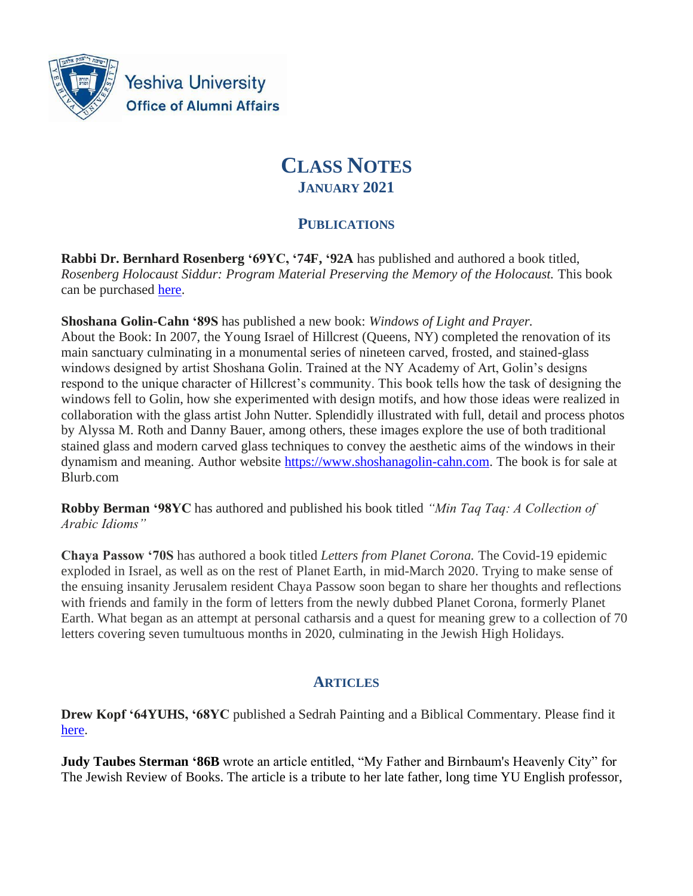

**Yeshiva University Office of Alumni Affairs** 

# **CLASS NOTES JANUARY 2021**

# **PUBLICATIONS**

**Rabbi Dr. Bernhard Rosenberg '69YC, '74F, '92A** has published and authored a book titled, *Rosenberg Holocaust Siddur: Program Material Preserving the Memory of the Holocaust.* This book can be purchased [here.](file:///C:/Users/aabrams/AppData/Local/Microsoft/Windows/INetCache/Content.Outlook/WQ8YM18P/%20https/www.amazon.com/Rosenberg-Holocaust-Siddur-material-preserving/dp/B08M8PK4BG/ref=sr_1_2%3fdchild=1&keywords=Rosenberg+Holocaust+Siddur&qid=1605798917&sr=8-2)

**Shoshana Golin-Cahn '89S** has published a new book: *Windows of Light and Prayer.* About the Book: In 2007, the Young Israel of Hillcrest (Queens, NY) completed the renovation of its main sanctuary culminating in a monumental series of nineteen carved, frosted, and stained-glass windows designed by artist Shoshana Golin. Trained at the NY Academy of Art, Golin's designs respond to the unique character of Hillcrest's community. This book tells how the task of designing the windows fell to Golin, how she experimented with design motifs, and how those ideas were realized in collaboration with the glass artist John Nutter. Splendidly illustrated with full, detail and process photos by Alyssa M. Roth and Danny Bauer, among others, these images explore the use of both traditional stained glass and modern carved glass techniques to convey the aesthetic aims of the windows in their dynamism and meaning. Author website [https://www.shoshanagolin-cahn.com.](https://www.shoshanagolin-cahn.com/) The book is for sale at Blurb.com

**Robby Berman '98YC** has authored and published his book titled *"Min Taq Taq: A Collection of Arabic Idioms"*

**Chaya Passow '70S** has authored a book titled *Letters from Planet Corona.* The Covid-19 epidemic exploded in Israel, as well as on the rest of Planet Earth, in mid-March 2020. Trying to make sense of the ensuing insanity Jerusalem resident Chaya Passow soon began to share her thoughts and reflections with friends and family in the form of letters from the newly dubbed Planet Corona, formerly Planet Earth. What began as an attempt at personal catharsis and a quest for meaning grew to a collection of 70 letters covering seven tumultuous months in 2020, culminating in the Jewish High Holidays.

# **ARTICLES**

**Drew Kopf '64YUHS, '68YC** published a Sedrah Painting and a Biblical Commentary. Please find it [here.](http://www.echelonartgallery.com/artists/dgk/paintings/jewish/10-miketz/shabbat-chanukah-I.html)

**Judy Taubes Sterman '86B** wrote an article entitled, "My Father and Birnbaum's Heavenly City" for The Jewish Review of Books. The article is a tribute to her late father, long time YU English professor,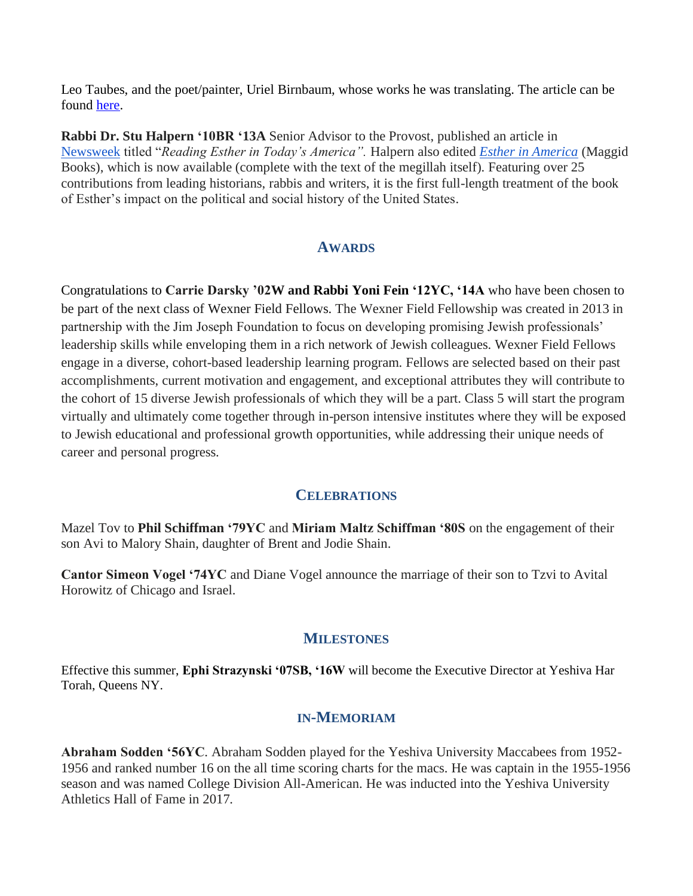Leo Taubes, and the poet/painter, Uriel Birnbaum, whose works he was translating. The article can be found [here.](https://jewishreviewofbooks.com/articles/9589/my-father-and-birnbaums-heavenly-city/)

**Rabbi Dr. Stu Halpern '10BR '13A** Senior Advisor to the Provost, published an article in [Newsweek](https://www.newsweek.com/reading-esther-todays-america-opinion-1561938) titled "*Reading Esther in Today's America".* Halpern also edited *[Esther in America](https://www.amazon.com/Esther-America-Stuart-Halpern/dp/1592645615/ref=sr_1_1?dchild=1&keywords=esther+in+america&qid=1611074306&sr=8-1)* (Maggid Books), which is now available (complete with the text of the megillah itself). Featuring over 25 contributions from leading historians, rabbis and writers, it is the first full-length treatment of the book of Esther's impact on the political and social history of the United States.

### **AWARDS**

Congratulations to **Carrie Darsky '02W and Rabbi Yoni Fein '12YC, '14A** who have been chosen to be part of the next class of Wexner Field Fellows. The Wexner Field Fellowship was created in 2013 in partnership with the Jim Joseph Foundation to focus on developing promising Jewish professionals' leadership skills while enveloping them in a rich network of Jewish colleagues. Wexner Field Fellows engage in a diverse, cohort-based leadership learning program. Fellows are selected based on their past accomplishments, current motivation and engagement, and exceptional attributes they will contribute to the cohort of 15 diverse Jewish professionals of which they will be a part. Class 5 will start the program virtually and ultimately come together through in-person intensive institutes where they will be exposed to Jewish educational and professional growth opportunities, while addressing their unique needs of career and personal progress.

#### **CELEBRATIONS**

Mazel Tov to **Phil Schiffman '79YC** and **Miriam Maltz Schiffman '80S** on the engagement of their son Avi to Malory Shain, daughter of Brent and Jodie Shain.

**Cantor Simeon Vogel '74YC** and Diane Vogel announce the marriage of their son to Tzvi to Avital Horowitz of Chicago and Israel.

#### **MILESTONES**

Effective this summer, **Ephi Strazynski '07SB, '16W** will become the Executive Director at Yeshiva Har Torah, Queens NY.

## **IN-MEMORIAM**

**Abraham Sodden '56YC**. Abraham Sodden played for the Yeshiva University Maccabees from 1952- 1956 and ranked number 16 on the all time scoring charts for the macs. He was captain in the 1955-1956 season and was named College Division All-American. He was inducted into the Yeshiva University Athletics Hall of Fame in 2017.